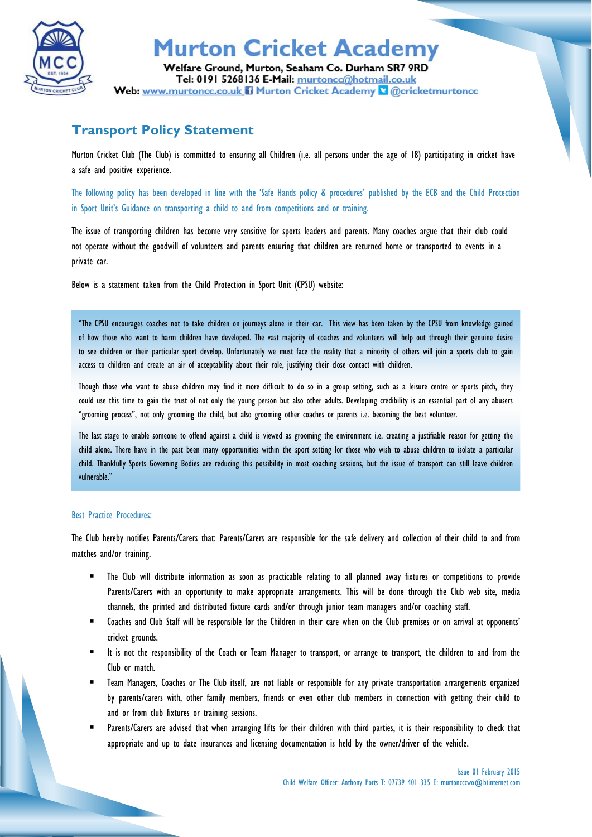

## **Murton Cricket Academy**

Welfare Ground, Murton, Seaham Co. Durham SR7 9RD Tel: 0191 5268136 E-Mail: murtoncc@hotmail.co.uk Web: www.murtoncc.co.uk il Murton Cricket Academy & @cricketmurtoncc

### **Transport Policy Statement**

Murton Cricket Club (The Club) is committed to ensuring all Children (i.e. all persons under the age of 18) participating in cricket have a safe and positive experience.

The following policy has been developed in line with the 'Safe Hands policy & procedures' published by the ECB and the Child Protection in Sport Unit's Guidance on transporting a child to and from competitions and or training.

The issue of transporting children has become very sensitive for sports leaders and parents. Many coaches argue that their club could not operate without the goodwill of volunteers and parents ensuring that children are returned home or transported to events in a private car.

Below is a statement taken from the Child Protection in Sport Unit (CPSU) website:

"The CPSU encourages coaches not to take children on journeys alone in their car. This view has been taken by the CPSU from knowledge gained of how those who want to harm children have developed. The vast majority of coaches and volunteers will help out through their genuine desire to see children or their particular sport develop. Unfortunately we must face the reality that a minority of others will join a sports club to gain access to children and create an air of acceptability about their role, justifying their close contact with children.

Though those who want to abuse children may find it more difficult to do so in a group setting, such as a leisure centre or sports pitch, they could use this time to gain the trust of not only the young person but also other adults. Developing credibility is an essential part of any abusers "grooming process", not only grooming the child, but also grooming other coaches or parents i.e. becoming the best volunteer.

The last stage to enable someone to offend against a child is viewed as grooming the environment i.e. creating a justifiable reason for getting the child alone. There have in the past been many opportunities within the sport setting for those who wish to abuse children to isolate a particular child. Thankfully Sports Governing Bodies are reducing this possibility in most coaching sessions, but the issue of transport can still leave children vulnerable."

#### Best Practice Procedures:

The Club hereby notifies Parents/Carers that: Parents/Carers are responsible for the safe delivery and collection of their child to and from matches and/or training.

- The Club will distribute information as soon as practicable relating to all planned away fixtures or competitions to provide Parents/Carers with an opportunity to make appropriate arrangements. This will be done through the Club web site, media channels, the printed and distributed fixture cards and/or through junior team managers and/or coaching staff.
- Coaches and Club Staff will be responsible for the Children in their care when on the Club premises or on arrival at opponents' cricket grounds.
- It is not the responsibility of the Coach or Team Manager to transport, or arrange to transport, the children to and from the Club or match.
- Team Managers, Coaches or The Club itself, are not liable or responsible for any private transportation arrangements organized by parents/carers with, other family members, friends or even other club members in connection with getting their child to and or from club fixtures or training sessions.
- Parents/Carers are advised that when arranging lifts for their children with third parties, it is their responsibility to check that appropriate and up to date insurances and licensing documentation is held by the owner/driver of the vehicle.